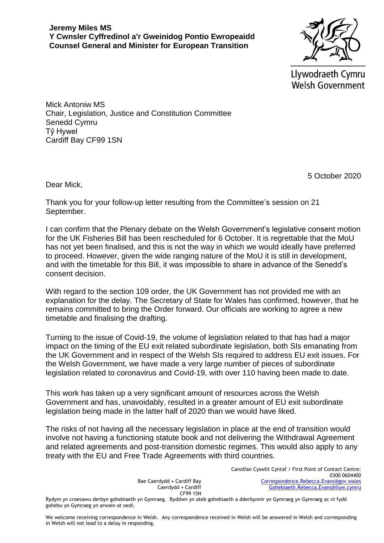Llywodraeth Cymru **Welsh Government** 

Mick Antoniw MS Chair, Legislation, Justice and Constitution Committee Senedd Cymru Tŷ Hywel Cardiff Bay CF99 1SN

5 October 2020

Dear Mick,

Thank you for your follow-up letter resulting from the Committee's session on 21 September.

I can confirm that the Plenary debate on the Welsh Government's legislative consent motion for the UK Fisheries Bill has been rescheduled for 6 October. It is regrettable that the MoU has not yet been finalised, and this is not the way in which we would ideally have preferred to proceed. However, given the wide ranging nature of the MoU it is still in development, and with the timetable for this Bill, it was impossible to share in advance of the Senedd's consent decision.

With regard to the section 109 order, the UK Government has not provided me with an explanation for the delay. The Secretary of State for Wales has confirmed, however, that he remains committed to bring the Order forward. Our officials are working to agree a new timetable and finalising the drafting.

Turning to the issue of Covid-19, the volume of legislation related to that has had a major impact on the timing of the EU exit related subordinate legislation, both SIs emanating from the UK Government and in respect of the Welsh SIs required to address EU exit issues. For the Welsh Government, we have made a very large number of pieces of subordinate legislation related to coronavirus and Covid-19, with over 110 having been made to date.

This work has taken up a very significant amount of resources across the Welsh Government and has, unavoidably, resulted in a greater amount of EU exit subordinate legislation being made in the latter half of 2020 than we would have liked.

The risks of not having all the necessary legislation in place at the end of transition would involve not having a functioning statute book and not delivering the Withdrawal Agreement and related agreements and post-transition domestic regimes. This would also apply to any treaty with the EU and Free Trade Agreements with third countries.

> Bae Caerdydd • Cardiff Bay Caerdydd • Cardiff CF99 1SN

Canolfan Cyswllt Cyntaf / First Point of Contact Centre: 0300 0604400 [Correspondence.Rebecca.Evans@gov.wales](mailto:Correspondence.Rebecca.Evans@gov.wales) [Gohebiaeth.Rebecca.Evans@llyw.cymru](mailto:Gohebiaeth.Rebecca.Evans@llyw.cymru)

Rydym yn croesawu derbyn gohebiaeth yn Gymraeg. Byddwn yn ateb gohebiaeth a dderbynnir yn Gymraeg yn Gymraeg ac ni fydd gohebu yn Gymraeg yn arwain at oedi.

We welcome receiving correspondence in Welsh. Any correspondence received in Welsh will be answered in Welsh and corresponding in Welsh will not lead to a delay in responding.